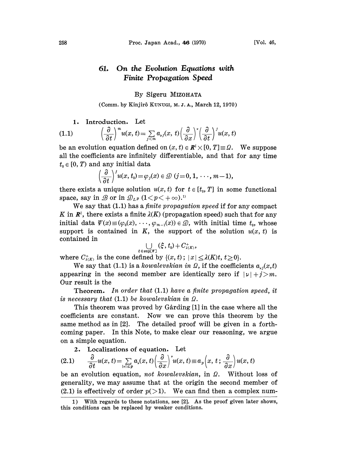#### On the Evolution Equations with 61. Finite Propagation Speed

## By Sigeru MIZOHATA

(Comm. by Kinjir5 KUNVGI, M. Z. A., March 12, 1970)

# 1. Introduction. Let

(1.1) 
$$
\left(\frac{\partial}{\partial t}\right)^m u(x,t) = \sum_{j < m} a_{ij}(x,t) \left(\frac{\partial}{\partial x}\right)^j \left(\frac{\partial}{\partial t}\right)^j u(x,t)
$$

be an evolution equation defined on  $(x, t) \in \mathbb{R}^l \times [0, T] \equiv \Omega$ . We suppose all the coefficients are infinitely differentiable, and that for any time  $t_0 \in [0, T)$  and any initial data

$$
\left(\frac{\partial}{\partial t}\right)^j u(x,t_0)=\varphi_j(x)\in \mathcal{D} (j=0,1,\cdots,m-1),
$$

there exists a unique solution  $u(x, t)$  for  $t \in [t_0, T]$  in some functional space, say in  $\mathscr{B}$  or in  $\mathscr{D}_{L^p}$   $(1 \lt p \lt +\infty).$ 

We say that (1.1) has a *finite propagation speed* if for any compact K in  $\mathbb{R}^l$ , there exists a finite  $\lambda(K)$  (propagation speed) such that for any initial data  $\psi(x) \equiv (\varphi_0(x), \dots, \varphi_{m-1}(x)) \in \mathcal{D}$ , with initial time  $t_0$ , whose support is contained in K, the support of the solution  $u(x, t)$  is contained in

$$
\bigcup_{\text{supp }(\mathscr{C})}(\hat{\xi},t_0) + C_{\lambda(K)}^+,
$$

where  $C_{\lambda(K)}^*$  is the cone defined by  $\{(x, t) : |x| \leq \lambda(K)t, t\geq 0\}.$ 

We say that (1.1) is a kowalevskian in  $\Omega$ , if the coefficients  $a_{\nu}(x,t)$ appearing in the second member are identically zero if  $|\nu| + j > m$ . Our result is the

**Theorem.** In order that  $(1.1)$  have a finite propagation speed, it is necessary that  $(1.1)$  be kowalevskian in  $\Omega$ .

This theorem was proved by Gårding [1] in the case where all the coefficients are constant. Now we can prove this theorem by the same method as in [2]. The detailed proof will be given in a forthcoming paper. In this Note, to make clear our reasoning, we argue on a simple equation.

2. Localizations of equation. Let

$$
(2.1) \qquad \frac{\partial}{\partial t}u(x,t) = \sum_{|x|\leq p} a_{\nu}(x,t) \left(\frac{\partial}{\partial x}\right)^{\nu} u(x,t) \equiv a_{p}\left(x,\,t\,;\,\frac{\partial}{\partial x}\right)u(x,t)
$$

be an evolution equation, not kowalevskian, in  $\Omega$ . Without loss of generality, we may assume that at the origin the second member of (2.1) is effectively of order  $p(>1)$ . We can find then a complex num-

<sup>1)</sup> With regards to these notations, see [2]. As the proof given later shows, this conditions can be replaced by weaker conditions.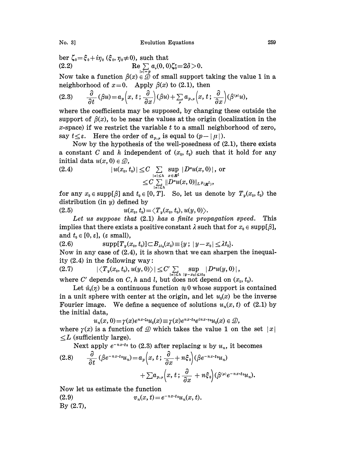No. 3] Evolution Equations 259

ber  $\zeta_0 = \xi_0 + i\eta_0$  ( $\xi_0$ ,  $\eta_0 \neq 0$ ), such that (2.2)  $\text{Re} \sum_{i=1}^{\infty} a_i(0,0) \zeta_0^* = 2\delta > 0.$ 

Now take a function  $\beta(x) \in \mathcal{D}$  of small support taking the value 1 in a neighborhood of  $x=0$ . Apply  $\beta(x)$  to (2.1), then

$$
(2.3) \qquad \frac{\partial}{\partial t}(\beta u) = a_p\left(x, t; \frac{\partial}{\partial x}\right)(\beta u) + \sum_{\mu} a_{p,\mu}\left(x, t; \frac{\partial}{\partial x}\right)(\beta^{(\mu)} u),
$$

where the coefficients may be supposed, by changing these outside the support of  $\beta(x)$ , to be near the values at the origin (localization in the  $x$ -space) if we restrict the variable  $t$  to a small neighborhood of zero, say  $t \leq \varepsilon$ . Here the order of  $a_{p,\mu}$  is equal to  $(p-|\mu|)$ .

Now by the hypothesis of the well-posedness of (2.1), there exists a constant C and h independent of  $(x_0, t_0)$  such that it hold for any a constant  $C$  and  $n$  in initial data  $u(x,0)\in \mathcal{D},$ 

initial data 
$$
u(x, 0) \in \mathcal{D}
$$
,  
\n
$$
|u(x_0, t_0)| \leq C \sum_{\substack{|a| \leq h \\ |a| \leq h}} \sup_{x \in R^l} |D^a u(x, 0)|
$$
, or  
\n
$$
\leq C \sum_{\substack{|a| \leq h \\ |a| \leq h}} ||D^a u(x, 0)||_{L^p(\mathbb{R}^l)},
$$

for any  $x_0 \in \text{supp}[\beta]$  and  $t_0 \in [0, T]$ . So, let us denote by  $T_y(x_0, t_0)$  the distribution (in  $y$ ) defined by

(2.5)  $u(x_0, t_0) = \langle T_y(x_0, t_0), u(y, 0) \rangle.$ 

Let us suppose that  $(2.1)$  has a finite propagation speed. This implies that there exists a positive constant  $\lambda$  such that for  $x_0 \in \text{supp}[\beta]$ , and  $t_0 \in [0, \varepsilon]$ , ( $\varepsilon$  small),

(2.6)  $\sup p[T_y(x_0, t_0)] \subset B_{xt_0}(x_0) \equiv \{y; |y-x_0| \leq \lambda t_0\}.$ Now in any case of (2.4), it is shown that we can sharpen the inequality  $(2.4)$  in the following way:

 $\left|\left\langle T_y(x_{\scriptscriptstyle 0}, t_{\scriptscriptstyle 0}), u(y, 0) \right\rangle\right| \leq C' \sum\limits_{|a| \leq h} \sup\limits_{|y - x_{\scriptscriptstyle 0}| \leq \lambda t_{\scriptscriptstyle 0}} |D^a u(y, 0)|\,,$ 

where C' depends on C, h and l, but does not depend on  $(x_0, t_0)$ .

Let  $\hat{u}_0(\eta)$  be a continuous function  $\equiv 0$  whose support is contained in a unit sphere with center at the origin, and let  $u_0(x)$  be the inverse Fourier image. We define a sequence of solutions  $u_n(x, t)$  of (2.1) by the initial data,

data,  
\n
$$
u_n(x, 0) = \gamma(x)e^{nx \cdot \zeta_0}u_0(x) \equiv \gamma(x)e^{nx \cdot \zeta_0}e^{inx \cdot \eta_0}u_0(x) \in \mathcal{D}
$$

where  $\gamma(x)$  is a function of  $\mathcal{D}$  which takes the value 1 on the set  $|x|$  $\leq L$  (sufficiently large).

Next apply  $e^{-nx+\epsilon_0}$  to (2.3) after replacing u by  $u_n$ , it becomes

$$
(2.8) \qquad \frac{\partial}{\partial t} \left( \beta e^{-nx \cdot \xi_0} u_n \right) = a_p \left( x, t; \frac{\partial}{\partial x} + n \xi_0 \right) \left( \beta e^{-nx \cdot \xi_0} u_n \right) + \sum a_{p,\mu} \left( x, t; \frac{\partial}{\partial x} + n \xi_0 \right) \left( \beta^{\mu} e^{-nx \cdot \xi_0} u_n \right).
$$

Now let us estimate the function

(2.9)  $v_n(x, t) = e^{-nx \cdot \xi_0} u_n(x, t).$ By (2.7),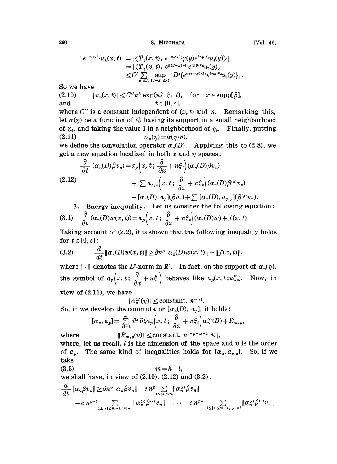260 S. MIZOHATA [Vol. 46,

$$
|e^{-nx+\epsilon_0}u_n(x,t)| = |\langle T_y(x,t), e^{-nx+\epsilon_0}\gamma(y)e^{iny+\epsilon_0}u_0(y)\rangle| = |\langle T_y(x,t), e^{n(y-x)+\epsilon_0}e^{iny+\epsilon_0}u_0(y)\rangle| \leq C' \sum_{|a| \leq h} \sup_{|y-x| \leq \lambda t} |D^{\alpha}\{e^{n(y-x)+\epsilon_0}e^{iny+\epsilon_0}u_0(y)\}|.
$$

So we have

(2.10)  $|v_n(x, t)| \leq C'' n^h \exp(n\lambda |\xi_0| t)$ , for  $x \in \text{supp}[\beta]$ , and  $t \in [0, \varepsilon],$ 

where  $C''$  is a constant independent of  $(x, t)$  and n. Remarking this, let  $\alpha(\eta)$  be a function of  $\mathcal D$  having its support in a small neighborhood of  $\eta_0$ , and taking the value 1 in a neighborhood of  $\eta_0$ . Finally, putting (2.11)  $\alpha_n(\eta) = \alpha(\eta/n),$ 

we define the convolution operator  $\alpha_n(D)$ . Applying this to (2.8), we get a new equation localized in both x and  $\eta$  spaces:

$$
\frac{\partial}{\partial t} (\alpha_n(D)\beta v_n) = a_p \Big(x, t; \frac{\partial}{\partial x} + n\xi_0\Big) (\alpha_n(D)\beta v_n) \n+ \sum a_{p,\mu} \Big(x, t; \frac{\partial}{\partial x} + n\xi_0\Big) (\alpha_n(D)\beta^{(\mu)} v_n) \n+ [\alpha_n(D), a_p] (\beta v_n) + \sum [\alpha_n(D), a_{p,\mu}] (\beta^{(\mu)} v_n).
$$

3. Energy inequality. Let us consider the following equation:<br>
(3.1)  $\frac{\partial}{\partial t}(\alpha_n(D)w(x,t)) = a_p\left(x, t; \frac{\partial}{\partial x} + n\xi_0\right)(\alpha_n(D)w) + f(x, t).$ 

Taking account of  $(2.2)$ , it is shown that the following inequality holds for  $t \in [0, \varepsilon]$ :

(3.2) 
$$
\frac{d}{dt} ||\alpha_n(D)w(x,t)|| \geq \delta n^p ||\alpha_n(D)w(x,t)|| - ||f(x,t)||,
$$

where  $\|\cdot\|$  denotes the L<sup>2</sup>-norm in  $\mathbb{R}^l$ . In fact, on the support of  $\alpha_n(\eta)$ , the symbol of  $a_p(x, t; \frac{\partial}{\partial x}+n\xi_0)$  behaves like  $a_p(x, t; n\zeta_0)$ . Now, in view of (2.11), we have

 $|\alpha_n^{(k)}(\eta)| \leq \text{constant}.$   $n^{-|k|}$ .

So, if we develop the commutator  $[\alpha_n(D), a_p]$ , it holds:

$$
[\alpha_n, a_p] = \sum_{|\mathbf{x}|=1}^m i^{|\mathbf{x}|} \partial_x^{\mathbf{x}} a_p(x, t; \frac{\partial}{\partial x} + n\xi_0) \alpha_n^{(\mathbf{x})}(D) + R_{m, p},
$$

where  $||R_{m,p}(u)|| \leq \text{constant}$ ,  $n^{l+p-m-1}||u||$ , where, let us recall,  $l$  is the dimension of the space and  $p$  is the order of  $a_p$ . The same kind of inequalities holds for  $[\alpha_n, \alpha_{p,\mu}]$ . So, if we take

$$
(3.3) \t m = h+l,
$$

we shall have, in view of  $(2.10)$ ,  $(2.12)$  and  $(3.2)$ :

$$
\begin{aligned}\frac{d}{dt}\|\alpha_n\beta v_n\| & \geq \delta n^p\|\alpha_n\beta v_n\| - c\,n^p\!\!\!\!\sum_{1\leq |\kappa|\leq m}\!\!\!\!\!\!\!\|\alpha_n^{\langle\kappa\rangle}\beta v_n\|\\& - c\,n^{p-1}\!\!\!\!\sum_{1\leq |\kappa|\leq \overline{m}-1,|\mu|=1}\!\!\!\!\!\|\alpha_n^{\langle\kappa\rangle}\beta^{\langle\mu\rangle}v_n\| - \cdots - c\,n^{p-i}\!\!\!\!\sum_{1\leq |\kappa|\leq \overline{m}-i,|\mu|=i}\!\!\!\!\!\|\alpha_n^{\langle\kappa\rangle}\beta^{\langle\mu\rangle}v_n\| \end{aligned}
$$